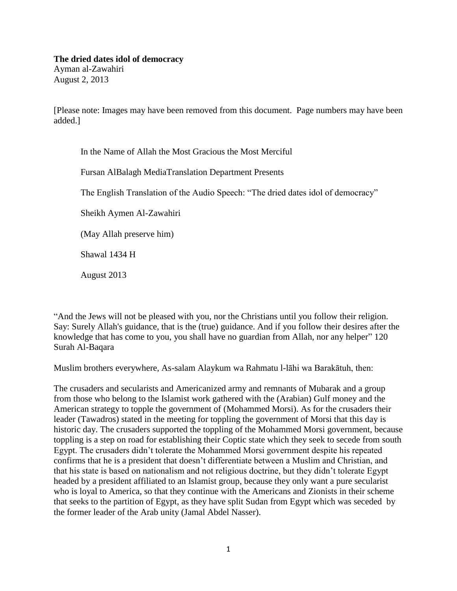## **The dried dates idol of democracy**

Ayman al-Zawahiri August 2, 2013

[Please note: Images may have been removed from this document. Page numbers may have been added.]

In the Name of Allah the Most Gracious the Most Merciful

Fursan AlBalagh MediaTranslation Department Presents

The English Translation of the Audio Speech: "The dried dates idol of democracy"

Sheikh Aymen Al-Zawahiri

(May Allah preserve him)

Shawal 1434 H

August 2013

"And the Jews will not be pleased with you, nor the Christians until you follow their religion. Say: Surely Allah's guidance, that is the (true) guidance. And if you follow their desires after the knowledge that has come to you, you shall have no guardian from Allah, nor any helper" 120 Surah Al-Baqara

Muslim brothers everywhere, As-salam Alaykum wa Rahmatu l-lāhi wa Barakātuh, then:

The crusaders and secularists and Americanized army and remnants of Mubarak and a group from those who belong to the Islamist work gathered with the (Arabian) Gulf money and the American strategy to topple the government of (Mohammed Morsi). As for the crusaders their leader (Tawadros) stated in the meeting for toppling the government of Morsi that this day is historic day. The crusaders supported the toppling of the Mohammed Morsi government, because toppling is a step on road for establishing their Coptic state which they seek to secede from south Egypt. The crusaders didn't tolerate the Mohammed Morsi government despite his repeated confirms that he is a president that doesn't differentiate between a Muslim and Christian, and that his state is based on nationalism and not religious doctrine, but they didn't tolerate Egypt headed by a president affiliated to an Islamist group, because they only want a pure secularist who is loyal to America, so that they continue with the Americans and Zionists in their scheme that seeks to the partition of Egypt, as they have split Sudan from Egypt which was seceded by the former leader of the Arab unity (Jamal Abdel Nasser).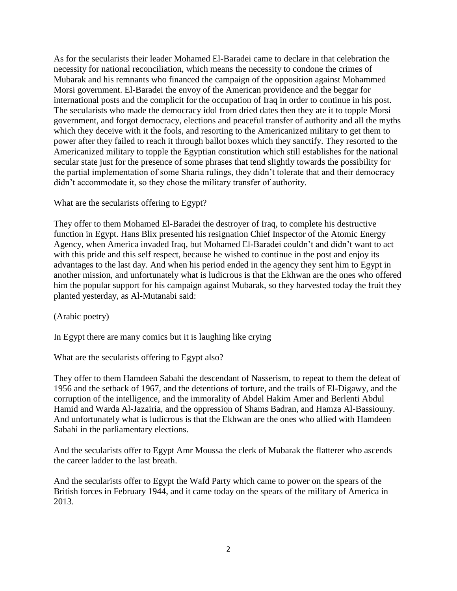As for the secularists their leader Mohamed El-Baradei came to declare in that celebration the necessity for national reconciliation, which means the necessity to condone the crimes of Mubarak and his remnants who financed the campaign of the opposition against Mohammed Morsi government. El-Baradei the envoy of the American providence and the beggar for international posts and the complicit for the occupation of Iraq in order to continue in his post. The secularists who made the democracy idol from dried dates then they ate it to topple Morsi government, and forgot democracy, elections and peaceful transfer of authority and all the myths which they deceive with it the fools, and resorting to the Americanized military to get them to power after they failed to reach it through ballot boxes which they sanctify. They resorted to the Americanized military to topple the Egyptian constitution which still establishes for the national secular state just for the presence of some phrases that tend slightly towards the possibility for the partial implementation of some Sharia rulings, they didn't tolerate that and their democracy didn't accommodate it, so they chose the military transfer of authority.

What are the secularists offering to Egypt?

They offer to them Mohamed El-Baradei the destroyer of Iraq, to complete his destructive function in Egypt. Hans Blix presented his resignation Chief Inspector of the Atomic Energy Agency, when America invaded Iraq, but Mohamed El-Baradei couldn't and didn't want to act with this pride and this self respect, because he wished to continue in the post and enjoy its advantages to the last day. And when his period ended in the agency they sent him to Egypt in another mission, and unfortunately what is ludicrous is that the Ekhwan are the ones who offered him the popular support for his campaign against Mubarak, so they harvested today the fruit they planted yesterday, as Al-Mutanabi said:

(Arabic poetry)

In Egypt there are many comics but it is laughing like crying

What are the secularists offering to Egypt also?

They offer to them Hamdeen Sabahi the descendant of Nasserism, to repeat to them the defeat of 1956 and the setback of 1967, and the detentions of torture, and the trails of El-Digawy, and the corruption of the intelligence, and the immorality of Abdel Hakim Amer and Berlenti Abdul Hamid and Warda Al-Jazairia, and the oppression of Shams Badran, and Hamza Al-Bassiouny. And unfortunately what is ludicrous is that the Ekhwan are the ones who allied with Hamdeen Sabahi in the parliamentary elections.

And the secularists offer to Egypt Amr Moussa the clerk of Mubarak the flatterer who ascends the career ladder to the last breath.

And the secularists offer to Egypt the Wafd Party which came to power on the spears of the British forces in February 1944, and it came today on the spears of the military of America in 2013.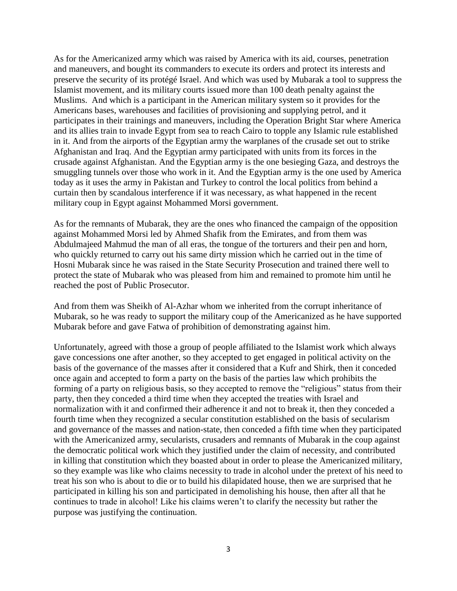As for the Americanized army which was raised by America with its aid, courses, penetration and maneuvers, and bought its commanders to execute its orders and protect its interests and preserve the security of its protégé Israel. And which was used by Mubarak a tool to suppress the Islamist movement, and its military courts issued more than 100 death penalty against the Muslims. And which is a participant in the American military system so it provides for the Americans bases, warehouses and facilities of provisioning and supplying petrol, and it participates in their trainings and maneuvers, including the Operation Bright Star where America and its allies train to invade Egypt from sea to reach Cairo to topple any Islamic rule established in it. And from the airports of the Egyptian army the warplanes of the crusade set out to strike Afghanistan and Iraq. And the Egyptian army participated with units from its forces in the crusade against Afghanistan. And the Egyptian army is the one besieging Gaza, and destroys the smuggling tunnels over those who work in it. And the Egyptian army is the one used by America today as it uses the army in Pakistan and Turkey to control the local politics from behind a curtain then by scandalous interference if it was necessary, as what happened in the recent military coup in Egypt against Mohammed Morsi government.

As for the remnants of Mubarak, they are the ones who financed the campaign of the opposition against Mohammed Morsi led by Ahmed Shafik from the Emirates, and from them was Abdulmajeed Mahmud the man of all eras, the tongue of the torturers and their pen and horn, who quickly returned to carry out his same dirty mission which he carried out in the time of Hosni Mubarak since he was raised in the State Security Prosecution and trained there well to protect the state of Mubarak who was pleased from him and remained to promote him until he reached the post of Public Prosecutor.

And from them was Sheikh of Al-Azhar whom we inherited from the corrupt inheritance of Mubarak, so he was ready to support the military coup of the Americanized as he have supported Mubarak before and gave Fatwa of prohibition of demonstrating against him.

Unfortunately, agreed with those a group of people affiliated to the Islamist work which always gave concessions one after another, so they accepted to get engaged in political activity on the basis of the governance of the masses after it considered that a Kufr and Shirk, then it conceded once again and accepted to form a party on the basis of the parties law which prohibits the forming of a party on religious basis, so they accepted to remove the "religious" status from their party, then they conceded a third time when they accepted the treaties with Israel and normalization with it and confirmed their adherence it and not to break it, then they conceded a fourth time when they recognized a secular constitution established on the basis of secularism and governance of the masses and nation-state, then conceded a fifth time when they participated with the Americanized army, secularists, crusaders and remnants of Mubarak in the coup against the democratic political work which they justified under the claim of necessity, and contributed in killing that constitution which they boasted about in order to please the Americanized military, so they example was like who claims necessity to trade in alcohol under the pretext of his need to treat his son who is about to die or to build his dilapidated house, then we are surprised that he participated in killing his son and participated in demolishing his house, then after all that he continues to trade in alcohol! Like his claims weren't to clarify the necessity but rather the purpose was justifying the continuation.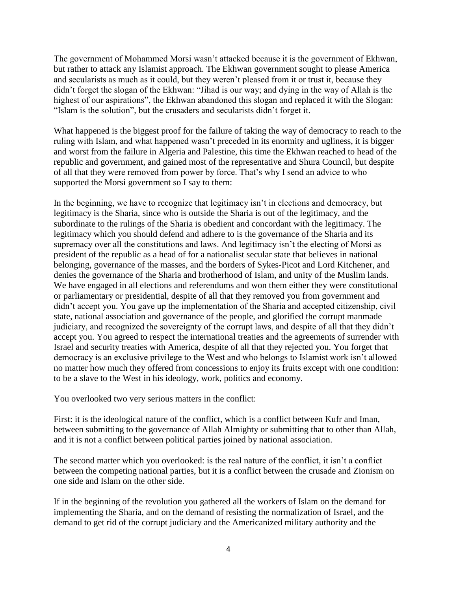The government of Mohammed Morsi wasn't attacked because it is the government of Ekhwan, but rather to attack any Islamist approach. The Ekhwan government sought to please America and secularists as much as it could, but they weren't pleased from it or trust it, because they didn't forget the slogan of the Ekhwan: "Jihad is our way; and dying in the way of Allah is the highest of our aspirations", the Ekhwan abandoned this slogan and replaced it with the Slogan: "Islam is the solution", but the crusaders and secularists didn't forget it.

What happened is the biggest proof for the failure of taking the way of democracy to reach to the ruling with Islam, and what happened wasn't preceded in its enormity and ugliness, it is bigger and worst from the failure in Algeria and Palestine, this time the Ekhwan reached to head of the republic and government, and gained most of the representative and Shura Council, but despite of all that they were removed from power by force. That's why I send an advice to who supported the Morsi government so I say to them:

In the beginning, we have to recognize that legitimacy isn't in elections and democracy, but legitimacy is the Sharia, since who is outside the Sharia is out of the legitimacy, and the subordinate to the rulings of the Sharia is obedient and concordant with the legitimacy. The legitimacy which you should defend and adhere to is the governance of the Sharia and its supremacy over all the constitutions and laws. And legitimacy isn't the electing of Morsi as president of the republic as a head of for a nationalist secular state that believes in national belonging, governance of the masses, and the borders of Sykes-Picot and Lord Kitchener, and denies the governance of the Sharia and brotherhood of Islam, and unity of the Muslim lands. We have engaged in all elections and referendums and won them either they were constitutional or parliamentary or presidential, despite of all that they removed you from government and didn't accept you. You gave up the implementation of the Sharia and accepted citizenship, civil state, national association and governance of the people, and glorified the corrupt manmade judiciary, and recognized the sovereignty of the corrupt laws, and despite of all that they didn't accept you. You agreed to respect the international treaties and the agreements of surrender with Israel and security treaties with America, despite of all that they rejected you. You forget that democracy is an exclusive privilege to the West and who belongs to Islamist work isn't allowed no matter how much they offered from concessions to enjoy its fruits except with one condition: to be a slave to the West in his ideology, work, politics and economy.

You overlooked two very serious matters in the conflict:

First: it is the ideological nature of the conflict, which is a conflict between Kufr and Iman, between submitting to the governance of Allah Almighty or submitting that to other than Allah, and it is not a conflict between political parties joined by national association.

The second matter which you overlooked: is the real nature of the conflict, it isn't a conflict between the competing national parties, but it is a conflict between the crusade and Zionism on one side and Islam on the other side.

If in the beginning of the revolution you gathered all the workers of Islam on the demand for implementing the Sharia, and on the demand of resisting the normalization of Israel, and the demand to get rid of the corrupt judiciary and the Americanized military authority and the